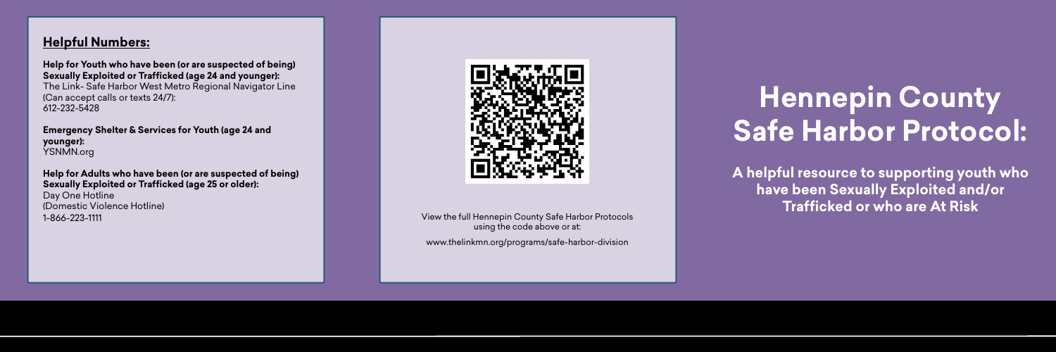### **Helpful Numbers:**

**Help for Youth who have been (or are suspected of being) Sexually Exploited or Trafficked (age 24 and younger):**

The Link- Safe Harbor West Metro Regional Navigator Line (Can accept calls or texts 24/7): 612-232-5428

**Emergency Shelter & Services for Youth (age 24 and younger):**  YSNMN.org

**Help for Adults who have been (or are suspected of being) Sexually Exploited or Trafficked (age 25 or older):** Day One Hotline (Domestic Violence Hotline) 1-866-223-1111



View the full Hennepin County Safe Harbor Protocols using the code above or at: [www.thelinkmn.org/programs/safe-harbor-division](https://thelinkmn.org/programs/safe-harbor-division/)

# **Hennepin County Safe Harbor Protocol:**

**A helpful resource to supporting youth who have been Sexually Exploited and/or Trafficked or who are At Risk**